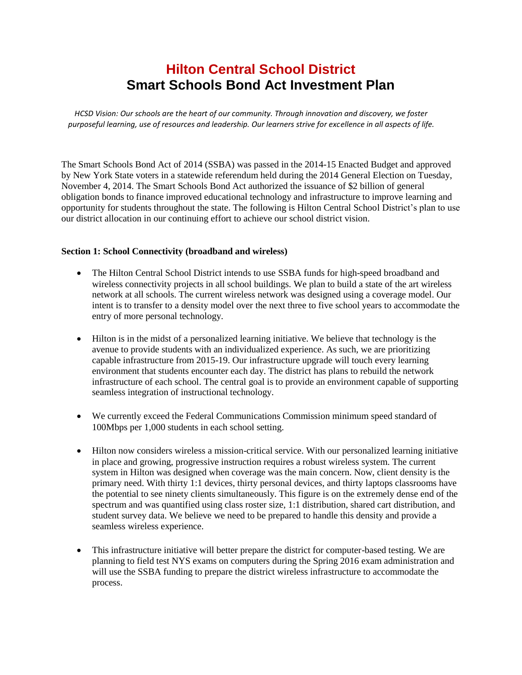## **Hilton Central School District Smart Schools Bond Act Investment Plan**

*HCSD Vision: Our schools are the heart of our community. Through innovation and discovery, we foster purposeful learning, use of resources and leadership. Our learners strive for excellence in all aspects of life.*

The Smart Schools Bond Act of 2014 (SSBA) was passed in the 2014-15 Enacted Budget and approved by New York State voters in a statewide referendum held during the 2014 General Election on Tuesday, November 4, 2014. The Smart Schools Bond Act authorized the issuance of \$2 billion of general obligation bonds to finance improved educational technology and infrastructure to improve learning and opportunity for students throughout the state. The following is Hilton Central School District's plan to use our district allocation in our continuing effort to achieve our school district vision.

## **Section 1: School Connectivity (broadband and wireless)**

- The Hilton Central School District intends to use SSBA funds for high-speed broadband and wireless connectivity projects in all school buildings. We plan to build a state of the art wireless network at all schools. The current wireless network was designed using a coverage model. Our intent is to transfer to a density model over the next three to five school years to accommodate the entry of more personal technology.
- Hilton is in the midst of a personalized learning initiative. We believe that technology is the avenue to provide students with an individualized experience. As such, we are prioritizing capable infrastructure from 2015-19. Our infrastructure upgrade will touch every learning environment that students encounter each day. The district has plans to rebuild the network infrastructure of each school. The central goal is to provide an environment capable of supporting seamless integration of instructional technology.
- We currently exceed the Federal Communications Commission minimum speed standard of 100Mbps per 1,000 students in each school setting.
- Hilton now considers wireless a mission-critical service. With our personalized learning initiative in place and growing, progressive instruction requires a robust wireless system. The current system in Hilton was designed when coverage was the main concern. Now, client density is the primary need. With thirty 1:1 devices, thirty personal devices, and thirty laptops classrooms have the potential to see ninety clients simultaneously. This figure is on the extremely dense end of the spectrum and was quantified using class roster size, 1:1 distribution, shared cart distribution, and student survey data. We believe we need to be prepared to handle this density and provide a seamless wireless experience.
- This infrastructure initiative will better prepare the district for computer-based testing. We are planning to field test NYS exams on computers during the Spring 2016 exam administration and will use the SSBA funding to prepare the district wireless infrastructure to accommodate the process.